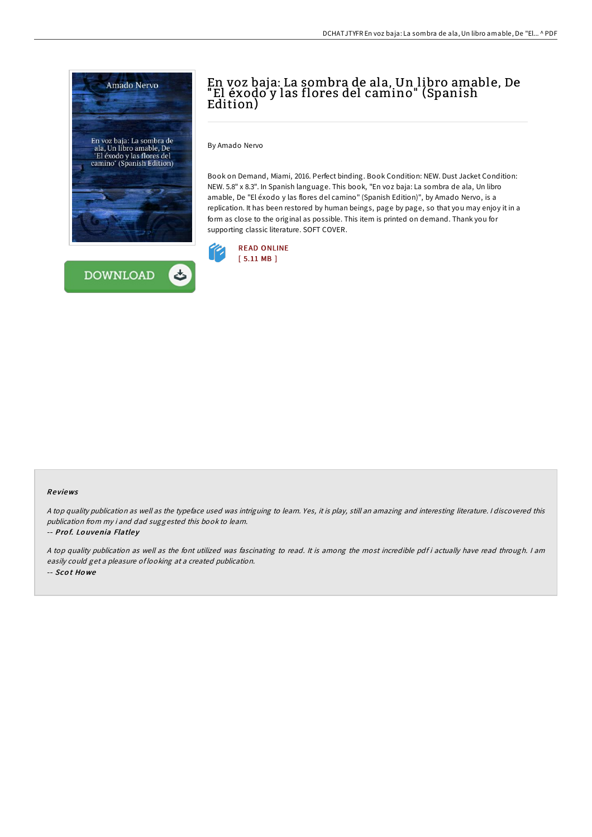



# En voz baja: La sombra de ala, Un libro amable, De "El éxodo y las flores del camino" (Spanish Edition)

By Amado Nervo

Book on Demand, Miami, 2016. Perfect binding. Book Condition: NEW. Dust Jacket Condition: NEW. 5.8" x 8.3". In Spanish language. This book, "En voz baja: La sombra de ala, Un libro amable, De "El éxodo y las flores del camino" (Spanish Edition)", by Amado Nervo, is a replication. It has been restored by human beings, page by page, so that you may enjoy it in a form as close to the original as possible. This item is printed on demand. Thank you for supporting classic literature. SOFT COVER.



#### Re views

<sup>A</sup> top quality publication as well as the typeface used was intriguing to learn. Yes, it is play, still an amazing and interesting literature. <sup>I</sup> discovered this publication from my i and dad suggested this book to learn.

-- Prof. Louvenia Flatley

A top quality publication as well as the font utilized was fascinating to read. It is among the most incredible pdf i actually have read through. I am easily could get <sup>a</sup> pleasure of looking at <sup>a</sup> created publication. -- Sco t Ho we